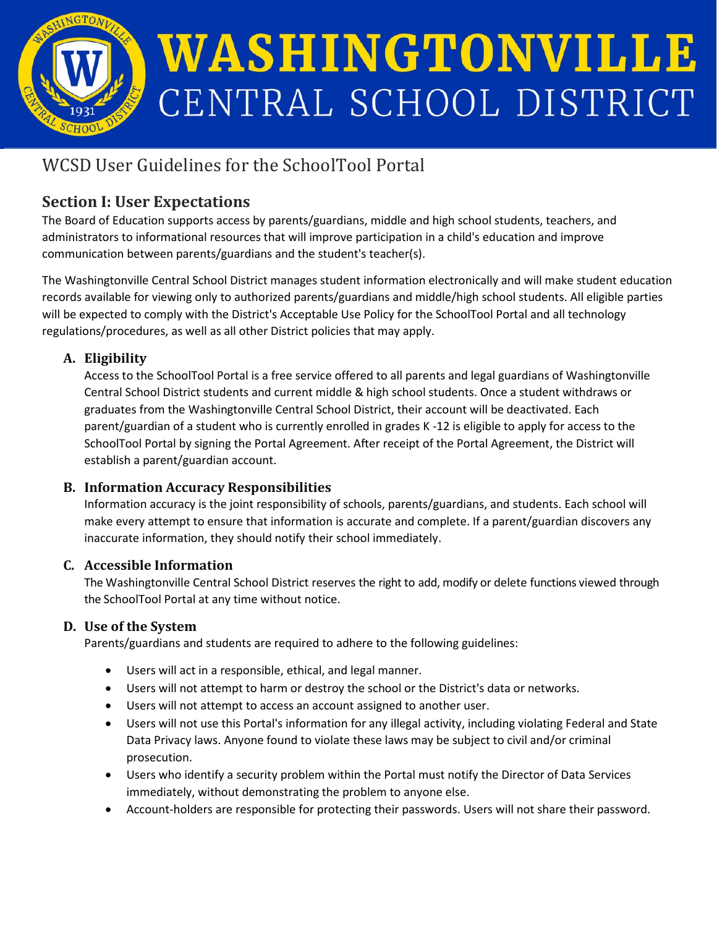

# WASHINGTONVILLE CENTRAL SCHOOL DISTRICT

## WCSD User Guidelines for the SchoolTool Portal

## **Section I: User Expectations**

The Board of Education supports access by parents/guardians, middle and high school students, teachers, and administrators to informational resources that will improve participation in a child's education and improve communication between parents/guardians and the student's teacher(s).

The Washingtonville Central School District manages student information electronically and will make student education records available for viewing only to authorized parents/guardians and middle/high school students. All eligible parties will be expected to comply with the District's Acceptable Use Policy for the SchoolTool Portal and all technology regulations/procedures, as well as all other District policies that may apply.

## **A. Eligibility**

Access to the SchoolTool Portal is a free service offered to all parents and legal guardians of Washingtonville Central School District students and current middle & high school students. Once a student withdraws or graduates from the Washingtonville Central School District, their account will be deactivated. Each parent/guardian of a student who is currently enrolled in grades K -12 is eligible to apply for access to the SchoolTool Portal by signing the Portal Agreement. After receipt of the Portal Agreement, the District will establish a parent/guardian account.

## **B. Information Accuracy Responsibilities**

Information accuracy is the joint responsibility of schools, parents/guardians, and students. Each school will make every attempt to ensure that information is accurate and complete. If a parent/guardian discovers any inaccurate information, they should notify their school immediately.

## **C. Accessible Information**

The Washingtonville Central School District reserves the right to add, modify or delete functions viewed through the SchoolTool Portal at any time without notice.

## **D. Use of the System**

Parents/guardians and students are required to adhere to the following guidelines:

- Users will act in a responsible, ethical, and legal manner.
- Users will not attempt to harm or destroy the school or the District's data or networks.
- Users will not attempt to access an account assigned to another user.
- Users will not use this Portal's information for any illegal activity, including violating Federal and State Data Privacy laws. Anyone found to violate these laws may be subject to civil and/or criminal prosecution.
- Users who identify a security problem within the Portal must notify the Director of Data Services immediately, without demonstrating the problem to anyone else.
- Account-holders are responsible for protecting their passwords. Users will not share their password.